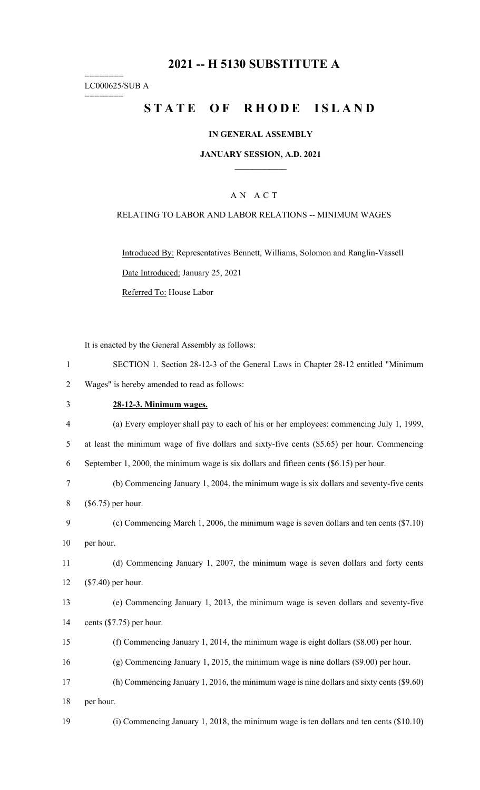## **2021 -- H 5130 SUBSTITUTE A**

======== LC000625/SUB A

========

# **STATE OF RHODE ISLAND**

#### **IN GENERAL ASSEMBLY**

#### **JANUARY SESSION, A.D. 2021 \_\_\_\_\_\_\_\_\_\_\_\_**

#### A N A C T

#### RELATING TO LABOR AND LABOR RELATIONS -- MINIMUM WAGES

Introduced By: Representatives Bennett, Williams, Solomon and Ranglin-Vassell Date Introduced: January 25, 2021 Referred To: House Labor

It is enacted by the General Assembly as follows:

| $\mathbf{1}$   | SECTION 1. Section 28-12-3 of the General Laws in Chapter 28-12 entitled "Minimum            |
|----------------|----------------------------------------------------------------------------------------------|
| $\overline{2}$ | Wages" is hereby amended to read as follows:                                                 |
| 3              | 28-12-3. Minimum wages.                                                                      |
| $\overline{4}$ | (a) Every employer shall pay to each of his or her employees: commencing July 1, 1999,       |
| 5              | at least the minimum wage of five dollars and sixty-five cents (\$5.65) per hour. Commencing |
| 6              | September 1, 2000, the minimum wage is six dollars and fifteen cents $(\$6.15)$ per hour.    |
| 7              | (b) Commencing January 1, 2004, the minimum wage is six dollars and seventy-five cents       |
| 8              | $(\$6.75)$ per hour.                                                                         |
| 9              | (c) Commencing March 1, 2006, the minimum wage is seven dollars and ten cents (\$7.10)       |
| 10             | per hour.                                                                                    |
| 11             | (d) Commencing January 1, 2007, the minimum wage is seven dollars and forty cents            |
| 12             | $(\$7.40)$ per hour.                                                                         |
| 13             | (e) Commencing January 1, 2013, the minimum wage is seven dollars and seventy-five           |
| 14             | cents $(\$7.75)$ per hour.                                                                   |
| 15             | (f) Commencing January 1, 2014, the minimum wage is eight dollars $(\$8.00)$ per hour.       |
| 16             | $(g)$ Commencing January 1, 2015, the minimum wage is nine dollars $(\$9.00)$ per hour.      |
| 17             | (h) Commencing January 1, 2016, the minimum wage is nine dollars and sixty cents $(\$9.60)$  |
| 18             | per hour.                                                                                    |
| 19             | (i) Commencing January 1, 2018, the minimum wage is ten dollars and ten cents $(\$10.10)$    |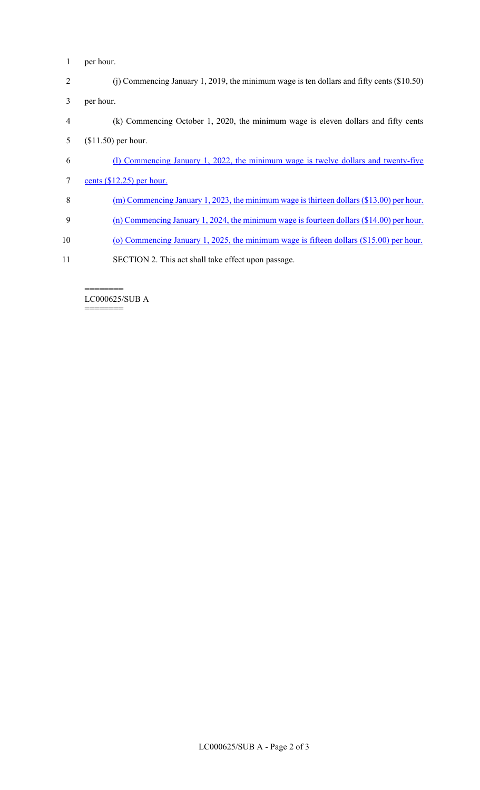- 1 per hour.
- 2 (j) Commencing January 1, 2019, the minimum wage is ten dollars and fifty cents (\$10.50) 3 per hour.
- 4 (k) Commencing October 1, 2020, the minimum wage is eleven dollars and fifty cents 5 (\$11.50) per hour.
- 6 (l) Commencing January 1, 2022, the minimum wage is twelve dollars and twenty-five
- 7 cents (\$12.25) per hour.
- 8 (m) Commencing January 1, 2023, the minimum wage is thirteen dollars (\$13.00) per hour.
- 9 (n) Commencing January 1, 2024, the minimum wage is fourteen dollars (\$14.00) per hour.
- 10 (o) Commencing January 1, 2025, the minimum wage is fifteen dollars (\$15.00) per hour.
- 11 SECTION 2. This act shall take effect upon passage.

======== LC000625/SUB A

========